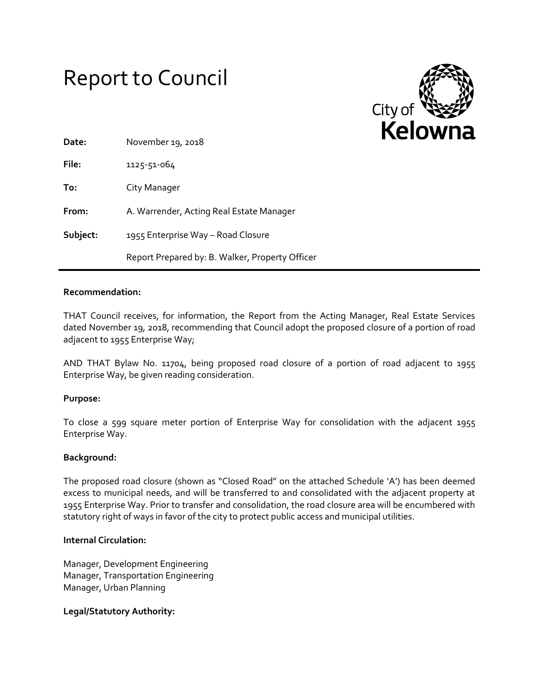# Report to Council



| Date:    | November 19, 2018                               |
|----------|-------------------------------------------------|
| File:    | 1125-51-064                                     |
| To:      | City Manager                                    |
| From:    | A. Warrender, Acting Real Estate Manager        |
| Subject: | 1955 Enterprise Way - Road Closure              |
|          | Report Prepared by: B. Walker, Property Officer |

### **Recommendation:**

THAT Council receives, for information, the Report from the Acting Manager, Real Estate Services dated November 19, 2018, recommending that Council adopt the proposed closure of a portion of road adjacent to 1955 Enterprise Way;

AND THAT Bylaw No. 11704, being proposed road closure of a portion of road adjacent to 1955 Enterprise Way, be given reading consideration.

### **Purpose:**

To close a 599 square meter portion of Enterprise Way for consolidation with the adjacent 1955 Enterprise Way.

### **Background:**

The proposed road closure (shown as "Closed Road" on the attached Schedule 'A') has been deemed excess to municipal needs, and will be transferred to and consolidated with the adjacent property at 1955 Enterprise Way. Prior to transfer and consolidation, the road closure area will be encumbered with statutory right of ways in favor of the city to protect public access and municipal utilities.

### **Internal Circulation:**

Manager, Development Engineering Manager, Transportation Engineering Manager, Urban Planning

### **Legal/Statutory Authority:**